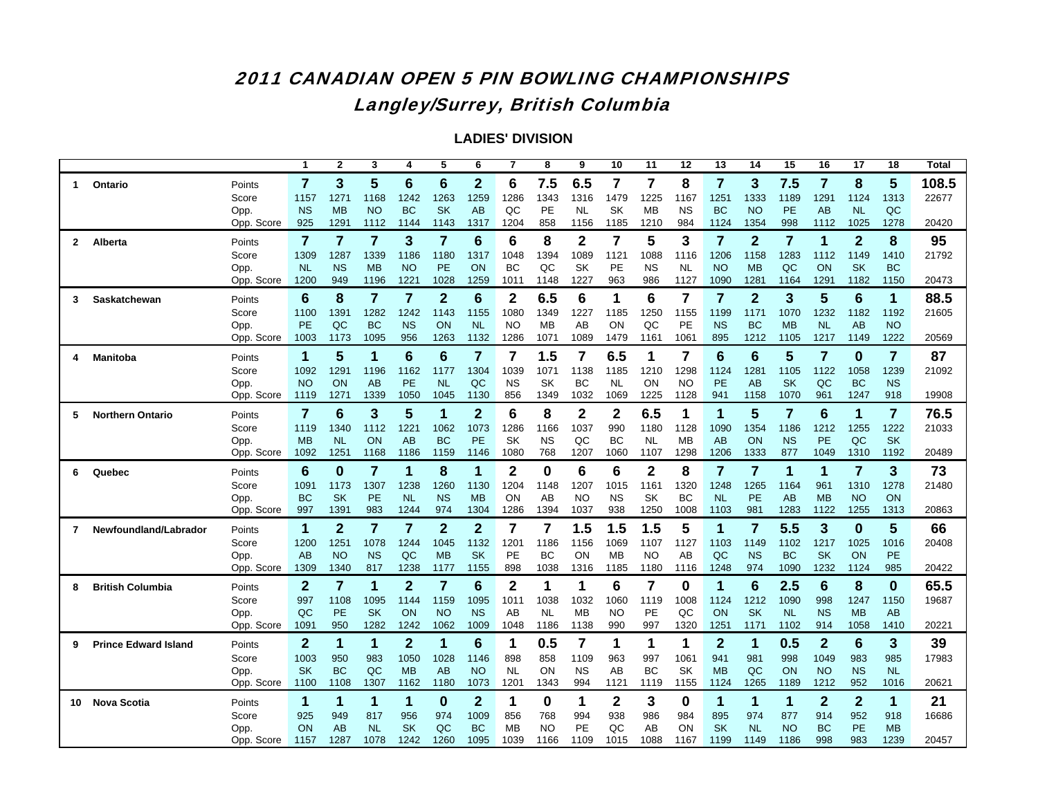# 2011 CANADIAN OPEN 5 PIN BOWLING CHAMPIONSHIPSLangley/Surrey, British Columbia

|                |                             |                    | $\mathbf{1}$    | $\mathbf{2}$   | 3                 | 4                 | 5              | $6\phantom{1}6$         | 7                 | 8                      | 9           | 10         | 11         | 12         | 13                | 14                | 15                | 16                      | 17               | 18                | Total |
|----------------|-----------------------------|--------------------|-----------------|----------------|-------------------|-------------------|----------------|-------------------------|-------------------|------------------------|-------------|------------|------------|------------|-------------------|-------------------|-------------------|-------------------------|------------------|-------------------|-------|
| $\mathbf 1$    | Ontario                     | Points             | $\overline{7}$  | 3              | 5                 | 6                 | 6              | $\mathbf{2}$            | 6                 | 7.5                    | 6.5         | 7          | 7          | 8          | $\overline{7}$    | 3                 | 7.5               | 7                       | 8                | 5                 | 108.5 |
|                |                             | Score              | 1157            | 1271           | 1168              | 1242              | 1263           | 1259                    | 1286              | 1343                   | 1316        | 1479       | 1225       | 1167       | 1251              | 1333              | 1189              | 1291                    | 1124             | 1313              | 22677 |
|                |                             | Opp.               | <b>NS</b>       | <b>MB</b>      | <b>NO</b>         | <b>BC</b>         | <b>SK</b>      | AB                      | QC                | PE                     | <b>NL</b>   | SK         | <b>MB</b>  | <b>NS</b>  | <b>BC</b>         | <b>NO</b>         | <b>PE</b>         | AB                      | <b>NL</b>        | QC                |       |
|                |                             | Opp. Score         | 925             | 1291           | 1112              | 1144              | 1143           | 1317                    | 1204              | 858                    | 1156        | 1185       | 1210       | 984        | 1124              | 1354              | 998               | 1112                    | 1025             | 1278              | 20420 |
| $\mathbf{2}$   | Alberta                     | Points             | $\overline{7}$  | $\overline{7}$ | $\overline{7}$    | 3                 | 7              | 6                       | 6                 | 8                      | $\mathbf 2$ | 7          | 5          | 3          | $\overline{7}$    | $\mathbf{2}$      | $\overline{7}$    | 1                       | $\overline{2}$   | 8                 | 95    |
|                |                             | Score              | 1309            | 1287           | 1339              | 1186              | 1180           | 1317                    | 1048              | 1394                   | 1089        | 1121       | 1088       | 1116       | 1206              | 1158              | 1283              | 1112                    | 1149             | 1410              | 21792 |
|                |                             | Opp.               | <b>NL</b>       | <b>NS</b>      | <b>MB</b>         | <b>NO</b>         | PE             | ON                      | <b>BC</b>         | QC                     | <b>SK</b>   | <b>PE</b>  | <b>NS</b>  | <b>NL</b>  | <b>NO</b>         | <b>MB</b>         | QC                | ON                      | <b>SK</b>        | <b>BC</b>         |       |
|                |                             | Opp. Score         | 1200            | 949            | 1196              | 1221              | 1028           | 1259                    | 1011              | 1148                   | 1227        | 963        | 986        | 1127       | 1090              | 1281              | 1164              | 1291                    | 1182             | 1150              | 20473 |
| 3              | Saskatchewan                | Points             | $6\phantom{1}$  | 8              | 7                 | 7                 | 2              | 6                       | $\mathbf 2$       | 6.5                    | 6           | 1          | 6          | 7          | $\overline{7}$    | $\overline{2}$    | 3                 | 5                       | 6                | 1                 | 88.5  |
|                |                             | Score              | 1100            | 1391           | 1282              | 1242              | 1143           | 1155                    | 1080              | 1349                   | 1227        | 1185       | 1250       | 1155       | 1199              | 1171              | 1070              | 1232                    | 1182             | 1192              | 21605 |
|                |                             | Opp.               | PE              | QC             | <b>BC</b>         | <b>NS</b>         | ON             | <b>NL</b>               | <b>NO</b>         | MB                     | AB          | ON         | QC         | <b>PE</b>  | <b>NS</b>         | <b>BC</b>         | <b>MB</b>         | <b>NL</b>               | AB               | <b>NO</b>         |       |
|                |                             | Opp. Score         | 1003            | 1173           | 1095              | 956               | 1263           | 1132                    | 1286              | 1071                   | 1089        | 1479       | 1161       | 1061       | 895               | 1212              | 1105              | 1217                    | 1149             | 1222              | 20569 |
| 4              | <b>Manitoba</b>             | Points             | 1               | 5              | 1                 | $6\phantom{1}6$   | 6              | $\overline{\mathbf{r}}$ | $\overline{7}$    | 1.5                    | 7           | 6.5        | 1          | 7          | $6\phantom{1}6$   | 6                 | 5                 | $\overline{\mathbf{r}}$ | $\bf{0}$         | $\overline{7}$    | 87    |
|                |                             | Score              | 1092            | 1291           | 1196              | 1162              | 1177           | 1304                    | 1039              | 1071                   | 1138        | 1185       | 1210       | 1298       | 1124              | 1281              | 1105              | 1122                    | 1058             | 1239              | 21092 |
|                |                             | Opp.               | <b>NO</b>       | ON             | AB                | PE                | <b>NL</b>      | QC                      | <b>NS</b>         | SK                     | BC          | <b>NL</b>  | ON         | NO         | PE                | AB                | <b>SK</b>         | QC                      | <b>BC</b>        | <b>NS</b>         |       |
|                |                             | Opp. Score         | 1119            | 1271           | 1339              | 1050              | 1045           | 1130                    | 856               | 1349                   | 1032        | 1069       | 1225       | 1128       | 941               | 1158              | 1070              | 961                     | 1247             | 918               | 19908 |
| 5              | <b>Northern Ontario</b>     | Points             | $\overline{7}$  | 6              | 3                 | 5                 | 1              | $\mathbf{2}$            | $6\phantom{1}6$   | 8                      | $\mathbf 2$ | 2          | 6.5        | 1          | 1                 | 5                 | $\overline{7}$    | 6                       | 1.               | $\overline{7}$    | 76.5  |
|                |                             | Score              | 1119            | 1340           | 1112              | 1221              | 1062           | 1073                    | 1286              | 1166                   | 1037        | 990        | 1180       | 1128       | 1090              | 1354              | 1186              | 1212                    | 1255             | 1222              | 21033 |
|                |                             | Opp.               | <b>MB</b>       | <b>NL</b>      | ON                | AB                | <b>BC</b>      | PE                      | SK                | <b>NS</b>              | QC          | BC         | <b>NL</b>  | <b>MB</b>  | AB                | ON                | <b>NS</b>         | <b>PE</b>               | QC               | <b>SK</b>         |       |
|                |                             | Opp. Score         | 1092            | 1251           | 1168              | 1186              | 1159           | 1146                    | 1080              | 768                    | 1207        | 1060       | 1107       | 1298       | 1206              | 1333              | 877               | 1049                    | 1310             | 1192              | 20489 |
| 6              | Quebec                      | Points             | $6\phantom{1}6$ | $\bf{0}$       | $\overline{7}$    | 1                 | 8              | 1                       | $\mathbf 2$       | 0                      | 6           | 6          | 2          | 8          | $\overline{7}$    | $\overline{7}$    | 1                 | 1                       | 7                | 3                 | 73    |
|                |                             | Score              | 1091            | 1173           | 1307              | 1238              | 1260           | 1130                    | 1204              | 1148                   | 1207        | 1015       | 1161       | 1320       | 1248              | 1265              | 1164              | 961                     | 1310             | 1278              | 21480 |
|                |                             | Opp.               | <b>BC</b>       | SK             | PE                | <b>NL</b>         | <b>NS</b>      | <b>MB</b>               | ON                | AB                     | NO          | ΝS         | SK         | BC         | <b>NL</b>         | PE                | AB                | <b>MB</b>               | <b>NO</b>        | ON                |       |
|                |                             | Opp. Score         | 997             | 1391           | 983               | 1244              | 974            | 1304                    | 1286              | 1394                   | 1037        | 938        | 1250       | 1008       | 1103              | 981               | 1283              | 1122                    | 1255             | 1313              | 20863 |
| $\overline{7}$ | Newfoundland/Labrador       | Points             | 1               | $\overline{2}$ | 7                 | 7                 | $\overline{2}$ | $\overline{2}$          | 7                 | 7                      | 1.5         | 1.5        | 1.5        | 5          | 1                 | $\overline{7}$    | 5.5               | 3                       | 0                | 5                 | 66    |
|                |                             | Score              | 1200            | 1251           | 1078              | 1244              | 1045           | 1132                    | 1201              | 1186                   | 1156        | 1069       | 1107       | 1127       | 1103              | 1149              | 1102              | 1217                    | 1025             | 1016              | 20408 |
|                |                             | Opp.               | AB              | <sub>NO</sub>  | <b>NS</b>         | QC                | <b>MB</b>      | <b>SK</b>               | PE                | ВC                     | <b>ON</b>   | <b>MB</b>  | NO         | AB         | QC                | <b>NS</b>         | BC                | <b>SK</b>               | <b>ON</b>        | PE                |       |
|                |                             | Opp. Score         | 1309            | 1340           | 817               | 1238              | 1177           | 1155                    | 898               | 1038                   | 1316        | 1185       | 1180       | 1116       | 1248              | 974               | 1090              | 1232                    | 1124             | 985               | 20422 |
| 8              | <b>British Columbia</b>     | Points             | $\mathbf{2}$    | $\overline{7}$ | 1                 | $\mathbf{2}$      | 7              | 6                       | $\mathbf 2$       | 1                      | 1           | 6          | 7          | 0          | 1                 | 6                 | 2.5               | 6                       | 8                | $\bf{0}$          | 65.5  |
|                |                             | Score              | 997             | 1108           | 1095              | 1144              | 1159           | 1095                    | 1011              | 1038                   | 1032        | 1060       | 1119       | 1008       | 1124              | 1212              | 1090              | 998                     | 1247             | 1150              | 19687 |
|                |                             | Opp.               | QC              | PE             | <b>SK</b>         | ON                | <b>NO</b>      | <b>NS</b>               | AB                | <b>NL</b>              | MB          | <b>NO</b>  | PE         | QC         | ON                | <b>SK</b>         | <b>NL</b>         | <b>NS</b>               | <b>MB</b>        | AB                |       |
|                |                             | Opp. Score         | 1091            | 950            | 1282              | 1242              | 1062           | 1009                    | 1048              | 1186                   | 1138        | 990        | 997        | 1320       | 1251              | 1171              | 1102              | 914                     | 1058             | 1410              | 20221 |
| 9              | <b>Prince Edward Island</b> | Points             | $\mathbf{2}$    | 1              | 1                 | $\mathbf{2}$      | 1              | 6                       | 1                 | 0.5                    | 7           | 1          | 1          | 1          | $\overline{2}$    | 1                 | 0.5               | 2                       | 6                | 3                 | 39    |
|                |                             | Score              | 1003            | 950            | 983               | 1050              | 1028           | 1146                    | 898               | 858                    | 1109        | 963        | 997        | 1061       | 941               | 981               | 998               | 1049                    | 983              | 985               | 17983 |
|                |                             | Opp.               | <b>SK</b>       | <b>BC</b>      | QC                | <b>MB</b>         | AB             | <b>NO</b>               | <b>NL</b>         | ON                     | <b>NS</b>   | AB         | <b>BC</b>  | <b>SK</b>  | <b>MB</b>         | QC                | ON                | <b>NO</b>               | <b>NS</b>        | <b>NL</b>         |       |
|                |                             | Opp. Score         | 1100            | 1108           | 1307              | 1162              | 1180           | 1073                    | 1201              | 1343                   | 994         | 1121       | 1119       | 1155       | 1124              | 1265              | 1189              | 1212                    | 952              | 1016              | 20621 |
| 10             |                             |                    |                 |                |                   |                   |                |                         |                   |                        |             |            |            |            |                   |                   |                   |                         |                  |                   |       |
|                | <b>Nova Scotia</b>          | Points             | 1               | 1              | 1                 | 1                 | $\bf{0}$       | $\overline{2}$          | 1                 | 0                      | 1           | 2          | 3          | 0          | 1                 | 1                 | 1                 | $\mathbf{2}$            | $\overline{2}$   | 1                 | 21    |
|                |                             | Score              | 925             | 949            | 817               | 956               | 974            | 1009                    | 856               | 768                    | 994         | 938        | 986        | 984        | 895               | 974               | 877               | 914                     | 952              | 918               | 16686 |
|                |                             | Opp.<br>Opp. Score | ON<br>1157      | AB<br>1287     | <b>NL</b><br>1078 | <b>SK</b><br>1242 | QC<br>1260     | <b>BC</b><br>1095       | <b>MB</b><br>1039 | N <sub>O</sub><br>1166 | PЕ<br>1109  | QC<br>1015 | AB<br>1088 | ON<br>1167 | <b>SK</b><br>1199 | <b>NL</b><br>1149 | <b>NO</b><br>1186 | BC<br>998               | <b>PE</b><br>983 | <b>MB</b><br>1239 | 20457 |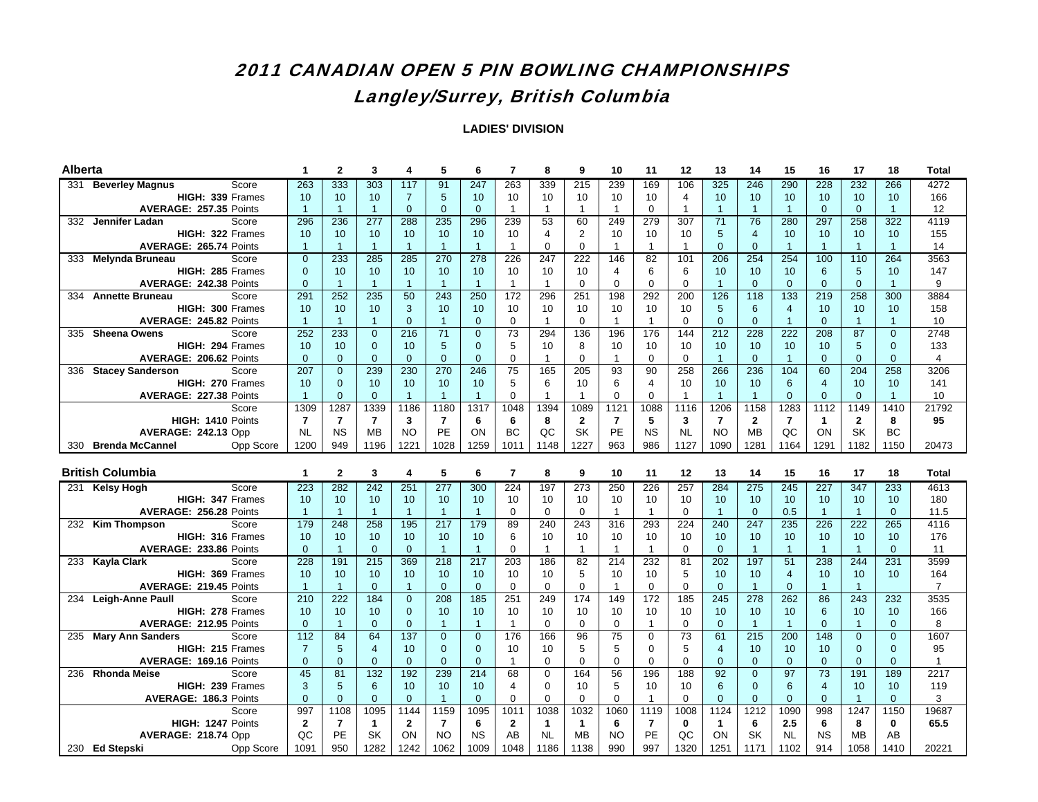### 2011 CANADIAN OPEN 5 PIN BOWLING CHAMPIONSHIPS Langley/Surrey, British Columbia

| Alberta |                                  | 1              | $\mathbf{2}$   | 3              | 4               | 5                | 6               | 7              | 8              | 9                    | 10             | 11               | 12             | 13             | 14               | 15             | 16               | 17              | 18             | Total          |
|---------|----------------------------------|----------------|----------------|----------------|-----------------|------------------|-----------------|----------------|----------------|----------------------|----------------|------------------|----------------|----------------|------------------|----------------|------------------|-----------------|----------------|----------------|
|         | 331 Beverley Magnus<br>Score     | 263            | 333            | 303            | 117             | 91               | 247             | 263            | 339            | 215                  | 239            | 169              | 106            | 325            | 246              | 290            | 228              | 232             | 266            | 4272           |
|         | HIGH: 339 Frames                 | 10             | 10             | 10             | $\overline{7}$  | $5\phantom{.}$   | 10              | 10             | 10             | 10                   | 10             | 10               | $\overline{4}$ | 10             | 10               | 10             | 10 <sup>10</sup> | 10              | 10             | 166            |
|         | AVERAGE: 257.35 Points           | $\overline{1}$ | $\overline{1}$ | $\overline{1}$ | $\overline{0}$  | $\mathbf{0}$     | $\mathbf{0}$    | $\mathbf{1}$   | $\overline{1}$ | $\mathbf{1}$         | $\mathbf{1}$   | $\mathbf 0$      | $\mathbf{1}$   | $\overline{1}$ | $\overline{1}$   | $\overline{1}$ | $\overline{0}$   | $\overline{0}$  | $\mathbf{1}$   | 12             |
|         | 332 Jennifer Ladan<br>Score      | 296            | 236            | 277            | 288             | 235              | 296             | 239            | 53             | 60                   | 249            | 279              | 307            | 71             | 76               | 280            | 297              | 258             | 322            | 4119           |
|         | HIGH: 322 Frames                 | 10             | 10             | 10             | 10 <sup>1</sup> | 10               | 10              | 10             | $\overline{4}$ | 2                    | 10             | 10               | 10             | 5              | $\overline{4}$   | 10             | 10               | 10 <sup>1</sup> | 10             | 155            |
|         | AVERAGE: 265.74 Points           | $\mathbf{1}$   | $\overline{1}$ | $\overline{1}$ | $\overline{1}$  | $\overline{1}$   | $\overline{1}$  | $\mathbf{1}$   | $\mathbf 0$    | $\Omega$             | $\mathbf{1}$   | $\mathbf{1}$     | $\mathbf{1}$   | $\overline{0}$ | $\mathbf{0}$     | $\overline{1}$ | $\mathbf{1}$     | $\overline{1}$  | $\mathbf{1}$   | 14             |
|         | Score<br>333 Melynda Bruneau     | $\overline{0}$ | 233            | 285            | 285             | 270              | 278             | 226            | 247            | 222                  | 146            | 82               | 101            | 206            | 254              | 254            | 100              | 110             | 264            | 3563           |
|         | HIGH: 285 Frames                 | $\overline{0}$ | 10             | 10             | 10              | 10               | 10 <sup>1</sup> | 10             | 10             | 10                   | 4              | 6                | 6              | 10             | 10               | 10             | 6                | 5               | 10             | 147            |
|         | AVERAGE: 242.38 Points           | $\overline{0}$ | $\overline{1}$ | $\overline{1}$ | $\mathbf{1}$    | $\overline{1}$   | $\overline{1}$  | $\mathbf{1}$   | $\mathbf{1}$   | $\Omega$             | $\mathbf 0$    | 0                | $\Omega$       | $\overline{1}$ | $\mathbf{0}$     | $\mathbf{0}$   | $\mathbf{0}$     | $\overline{0}$  | $\overline{1}$ | 9              |
| 334     | <b>Annette Bruneau</b><br>Score  | 291            | 252            | 235            | 50              | 243              | 250             | 172            | 296            | 251                  | 198            | 292              | 200            | 126            | 118              | 133            | 219              | 258             | 300            | 3884           |
|         | HIGH: 300 Frames                 | 10             | 10             | 10             | 3               | 10               | 10              | 10             | 10             | 10                   | 10             | 10               | 10             | 5              | 6                | $\overline{4}$ | 10               | 10              | 10             | 158            |
|         | AVERAGE: 245.82 Points           | $\overline{1}$ | $\overline{1}$ | $\mathbf{1}$   | $\overline{0}$  | $\mathbf{1}$     | $\overline{0}$  | $\mathbf 0$    | $\mathbf{1}$   | $\mathbf 0$          | $\mathbf{1}$   | $\mathbf{1}$     | $\mathbf 0$    | $\mathbf{0}$   | $\mathbf{0}$     | $\overline{1}$ | $\overline{0}$   | $\overline{1}$  | $\mathbf{1}$   | 10             |
|         | 335 Sheena Owens<br>Score        | 252            | 233            | $\overline{0}$ | 216             | 71               | $\mathbf{0}$    | 73             | 294            | 136                  | 196            | 176              | 144            | 212            | 228              | 222            | 208              | 87              | $\Omega$       | 2748           |
|         | HIGH: 294 Frames                 | 10             | 10             | $\mathbf{0}$   | 10              | 5                | $\Omega$        | 5              | 10             | 8                    | 10             | 10               | 10             | 10             | 10               | 10             | 10               | 5               | $\Omega$       | 133            |
|         | AVERAGE: 206.62 Points           | $\overline{0}$ | $\mathbf{0}$   | $\overline{0}$ | $\overline{0}$  | $\overline{0}$   | $\mathbf{0}$    | $\mathbf 0$    | $\overline{1}$ | 0                    | $\mathbf{1}$   | $\mathbf 0$      | $\mathbf 0$    | $\overline{1}$ | $\mathbf{0}$     | $\overline{1}$ | $\overline{0}$   | $\overline{0}$  | $\Omega$       | $\overline{4}$ |
|         |                                  | 207            | $\mathbf{0}$   | 239            | 230             | 270              | 246             | 75             |                |                      |                | 90               |                | 266            | 236              | 104            | 60               | 204             | 258            | 3206           |
| 336     | <b>Stacey Sanderson</b><br>Score |                |                |                |                 |                  |                 |                | 165            | 205                  | 93             |                  | 258            |                |                  |                |                  |                 |                |                |
|         | HIGH: 270 Frames                 | 10             | $\mathbf{0}$   | 10             | 10 <sup>1</sup> | 10               | 10 <sup>1</sup> | 5              | 6              | 10<br>$\overline{1}$ | 6              | 4                | 10             | 10             | 10               | 6              | $\overline{4}$   | 10 <sup>1</sup> | 10             | 141            |
|         | AVERAGE: 227.38 Points           | $\overline{1}$ | $\Omega$       | $\mathbf 0$    | $\overline{1}$  | $\mathbf{1}$     | $\overline{1}$  | $\Omega$       | $\mathbf{1}$   |                      | $\Omega$       | $\Omega$         | $\overline{1}$ | $\overline{1}$ | $\overline{1}$   | $\Omega$       | $\Omega$         | $\Omega$        | $\overline{1}$ | 10             |
|         | Score                            | 1309           | 1287           | 1339           | 1186            | 1180             | 1317            | 1048           | 1394           | 1089                 | 1121           | 1088             | 1116           | 1206           | 1158             | 1283           | 1112             | 1149            | 1410           | 21792          |
|         | HIGH: 1410 Points                | $\overline{7}$ | $\overline{7}$ | $\overline{7}$ | 3               | $\overline{7}$   | 6               | 6              | 8              | $\mathbf{2}$         | $\overline{7}$ | 5                | 3              | $\overline{7}$ | $\mathbf{2}$     | $\overline{7}$ | $\mathbf{1}$     | $\mathbf{2}$    | 8              | 95             |
|         | <b>AVERAGE: 242.13 Opp</b>       | <b>NL</b>      | <b>NS</b>      | <b>MB</b>      | <b>NO</b>       | PE               | ON              | <b>BC</b>      | QC             | <b>SK</b>            | PE             | <b>NS</b>        | <b>NL</b>      | <b>NO</b>      | <b>MB</b>        | QC             | ON               | SK              | <b>BC</b>      |                |
|         | 330 Brenda McCannel<br>Opp Score | 1200           | 949            | 1196           | 1221            | 1028             | 1259            | 1011           | 1148           | 1227                 | 963            | 986              | 1127           | 1090           | 1281             | 1164           | 1291             | 1182            | 1150           | 20473          |
|         |                                  |                |                |                |                 |                  |                 |                |                |                      |                |                  |                |                |                  |                |                  |                 |                |                |
|         |                                  |                |                |                |                 |                  |                 |                |                |                      |                |                  |                |                |                  |                |                  |                 |                |                |
|         | <b>British Columbia</b>          | $\mathbf{1}$   | $\mathbf{2}$   | 3              | 4               | 5                | 6               | $\overline{7}$ | 8              | 9                    | 10             | 11               | 12             | 13             | 14               | 15             | 16               | 17              | 18             | Total          |
|         | Score<br>231 Kelsy Hogh          | 223            | 282            | 242            | 251             | $\overline{277}$ | 300             | 224            | 197            | 273                  | 250            | 226              | 257            | 284            | $\overline{275}$ | 245            | 227              | 347             | 233            | 4613           |
|         | HIGH: 347 Frames                 | 10             | 10             | 10             | 10              | 10               | 10 <sup>1</sup> | 10             | 10             | 10                   | 10             | 10               | 10             | 10             | 10               | 10             | 10               | 10              | 10             | 180            |
|         | AVERAGE: 256.28 Points           | $\overline{1}$ | $\overline{1}$ | $\overline{1}$ | $\overline{1}$  | $\overline{1}$   | $\overline{1}$  | $\Omega$       | $\mathbf 0$    | $\Omega$             | $\mathbf{1}$   | $\mathbf{1}$     | $\Omega$       | $\overline{1}$ | $\Omega$         | 0.5            | $\overline{1}$   | $\overline{1}$  | $\Omega$       | 11.5           |
|         | 232 Kim Thompson<br>Score        | 179            | 248            | 258            | 195             | 217              | 179             | 89             | 240            | 243                  | 316            | 293              | 224            | 240            | 247              | 235            | 226              | 222             | 265            | 4116           |
|         | HIGH: 316 Frames                 | 10             | 10             | 10             | 10              | 10               | 10              | 6              | 10             | 10                   | 10             | 10               | 10             | 10             | 10               | 10             | 10               | 10 <sup>1</sup> | 10             | 176            |
|         | AVERAGE: 233.86 Points           | $\Omega$       | $\overline{1}$ | $\Omega$       | $\Omega$        | $\mathbf{1}$     | $\overline{1}$  | $\Omega$       | $\mathbf{1}$   | $\overline{1}$       | $\mathbf{1}$   | $\mathbf{1}$     | $\Omega$       | $\Omega$       | $\overline{1}$   | $\overline{1}$ | $\overline{1}$   | $\overline{1}$  | $\Omega$       | 11             |
|         | 233 Kayla Clark<br>Score         | 228            | 191            | 215            | 369             | 218              | 217             | 203            | 186            | 82                   | 214            | 232              | 81             | 202            | 197              | 51             | 238              | 244             | 231            | 3599           |
|         | HIGH: 369 Frames                 | 10             | 10             | 10             | 10 <sup>1</sup> | 10               | 10 <sup>1</sup> | 10             | 10             | 5                    | 10             | 10               | 5              | 10             | 10               | $\overline{4}$ | 10               | 10 <sup>1</sup> | 10             | 164            |
|         | AVERAGE: 219.45 Points           | $\overline{1}$ | $\mathbf{1}$   | $\mathbf{0}$   | $\mathbf{1}$    | $\Omega$         | $\Omega$        | $\Omega$       | $\Omega$       | $\Omega$             | $\mathbf{1}$   | $\Omega$         | $\Omega$       | $\Omega$       | $\overline{1}$   | $\Omega$       | $\mathbf{1}$     | $\overline{1}$  |                | $\overline{7}$ |
|         | 234 Leigh-Anne Paull<br>Score    | 210            | 222            | 184            | $\overline{0}$  | 208              | 185             | 251            | 249            | 174                  | 149            | $\overline{172}$ | 185            | 245            | 278              | 262            | 86               | 243             | 232            | 3535           |
|         | HIGH: 278 Frames                 | 10             | 10             | 10             | $\overline{0}$  | 10               | 10              | 10             | 10             | 10                   | 10             | 10               | 10             | 10             | 10               | 10             | 6                | 10              | 10             | 166            |
|         | AVERAGE: 212.95 Points           | $\overline{0}$ | $\overline{1}$ | $\mathbf{0}$   | $\Omega$        | $\mathbf{1}$     | $\overline{1}$  | $\mathbf{1}$   | $\Omega$       | $\Omega$             | $\mathbf 0$    | $\mathbf{1}$     | $\Omega$       | $\mathbf{0}$   | $\overline{1}$   | $\overline{1}$ | $\Omega$         | $\mathbf{1}$    | $\Omega$       | 8              |
|         | 235 Mary Ann Sanders<br>Score    | 112            | 84             | 64             | 137             | $\overline{0}$   | $\overline{0}$  | 176            | 166            | 96                   | 75             | 0                | 73             | 61             | 215              | 200            | $\frac{1}{48}$   | $\overline{0}$  | $\Omega$       | 1607           |
|         | HIGH: 215 Frames                 | $\overline{7}$ | $\sqrt{5}$     | $\overline{4}$ | 10              | $\mathbf{0}$     | $\mathbf{0}$    | 10             | 10             | 5                    | 5              | $\mathbf 0$      | 5              | $\overline{4}$ | 10               | 10             | 10               | $\mathbf{0}$    | $\Omega$       | 95             |
|         | AVERAGE: 169.16 Points           | $\Omega$       | $\Omega$       | $\Omega$       | $\Omega$        | $\Omega$         | $\Omega$        | $\mathbf{1}$   | $\mathbf 0$    | $\Omega$             | $\Omega$       | $\Omega$         | $\Omega$       | $\Omega$       | $\Omega$         | $\Omega$       | $\Omega$         | $\Omega$        | $\Omega$       | $\mathbf{1}$   |
| 236     | <b>Rhonda Meise</b><br>Score     | 45             | 81             | 132            | 192             | 239              | 214             | 68             | $\Omega$       | 164                  | 56             | 196              | 188            | 92             | $\Omega$         | 97             | 73               | 191             | 189            | 2217           |
|         | HIGH: 239 Frames                 | 3              | 5              | 6              | 10 <sup>1</sup> | 10               | 10 <sup>1</sup> | 4              | $\mathbf 0$    | 10                   | 5              | 10               | 10             | 6              | $\Omega$         | 6              | $\overline{4}$   | 10 <sup>1</sup> | 10             | 119            |
|         | AVERAGE: 186.3 Points            | $\overline{0}$ | $\mathbf{0}$   | $\mathbf{0}$   | $\overline{0}$  | $\mathbf{1}$     | $\mathbf{0}$    | $\Omega$       | $\mathbf 0$    | $\mathbf 0$          | $\mathbf 0$    | $\mathbf 1$      | $\Omega$       | $\mathbf{0}$   | $\mathbf{0}$     | $\mathbf{0}$   | $\mathbf{0}$     | $\overline{1}$  | $\Omega$       | 3              |
|         | Score                            | 997            | 1108           | 1095           | 1144            | 1159             | 1095            | 1011           | 1038           | 1032                 | 1060           | 1119             | 1008           | 1124           | 1212             | 1090           | 998              | 1247            | 1150           | 19687          |
|         | HIGH: 1247 Points                | $\mathbf{2}$   | $\overline{7}$ | $\mathbf{1}$   | $\mathbf{2}$    | $\overline{7}$   | 6               | $\mathbf{2}$   | $\mathbf{1}$   | $\mathbf{1}$         | 6              | 7                | $\bf{0}$       | $\mathbf{1}$   | 6                | 2.5            | 6                | 8               | $\mathbf{0}$   | 65.5           |
|         | <b>AVERAGE: 218.74 Opp</b>       | QC             | PE             | <b>SK</b>      | ON              | <b>NO</b>        | <b>NS</b>       | AB             | <b>NL</b>      | <b>MB</b>            | <b>NO</b>      | PE               | QC             | ON             | <b>SK</b>        | <b>NL</b>      | <b>NS</b>        | <b>MB</b>       | AB             |                |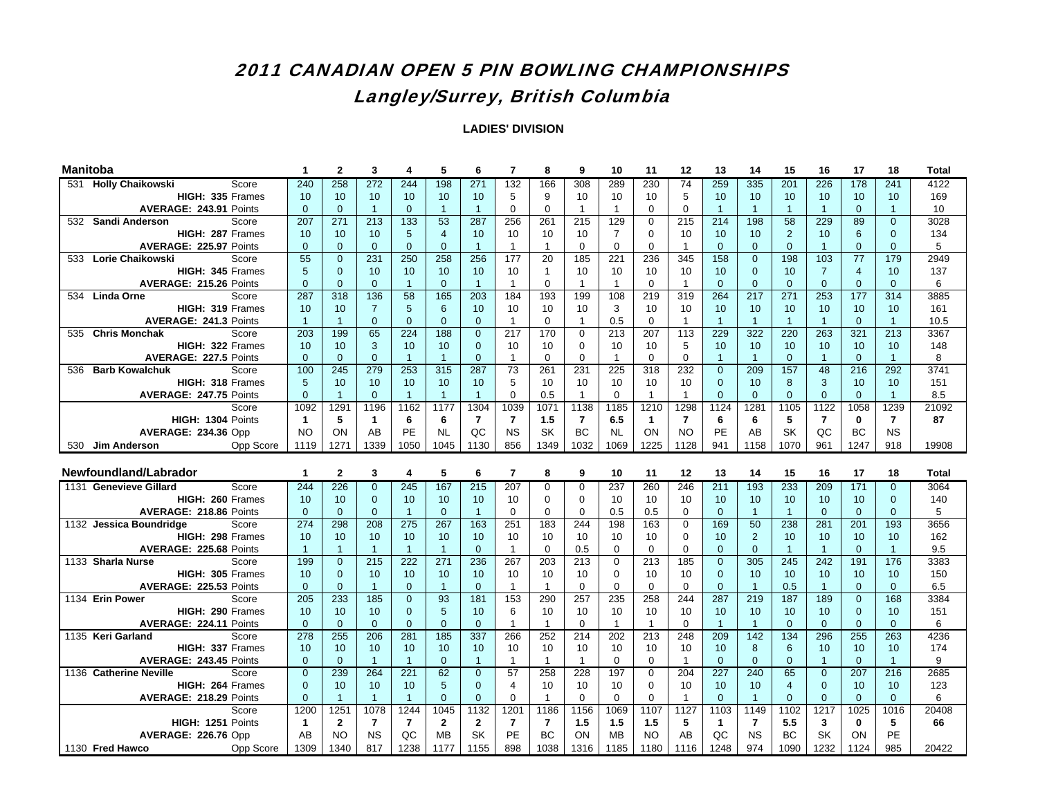### 2011 CANADIAN OPEN 5 PIN BOWLING CHAMPIONSHIPS

# Langley/Surrey, British Columbia

| <b>Manitoba</b>                             | 1              | $\mathbf{2}$   | 3                              | 4                    | 5              | 6              | $\overline{7}$ | 8            | 9                       | 10               | 11             | 12             | 13             | 14             | 15              | 16             | 17             | 18             | <b>Total</b> |
|---------------------------------------------|----------------|----------------|--------------------------------|----------------------|----------------|----------------|----------------|--------------|-------------------------|------------------|----------------|----------------|----------------|----------------|-----------------|----------------|----------------|----------------|--------------|
| 531 Holly Chaikowski<br>Score               | 240            | 258            | $\overline{272}$               | 244                  | 198            | 271            | 132            | 166          | 308                     | 289              | 230            | 74             | 259            | 335            | 201             | 226            | 178            | 241            | 4122         |
| HIGH: 335 Frames                            | 10             | 10             | 10                             | 10                   | 10             | 10             | 5              | 9            | 10                      | 10               | 10             | 5              | 10             | 10             | 10 <sup>1</sup> | 10             | 10             | 10             | 169          |
| AVERAGE: 243.91 Points                      | $\mathbf{0}$   | $\mathbf{0}$   | $\overline{1}$                 | $\mathbf{0}$         | $\overline{1}$ | $\overline{1}$ | $\Omega$       | $\mathbf 0$  | $\mathbf{1}$            | $\mathbf{1}$     | $\mathbf 0$    | $\mathbf 0$    | $\overline{1}$ | $\overline{1}$ | $\overline{1}$  | $\mathbf{1}$   | $\overline{0}$ | $\overline{1}$ | 10           |
| 532 Sandi Anderson<br>Score                 | 207            | 271            | 213                            | 133                  | 53             | 287            | 256            | 261          | 215                     | 129              | $\Omega$       | 215            | 214            | 198            | 58              | 229            | 89             | $\Omega$       | 3028         |
| HIGH: 287 Frames                            | 10             | 10             | 10                             | 5                    | $\overline{4}$ | 10             | 10             | 10           | 10                      | $\overline{7}$   | $\Omega$       | 10             | 10             | 10             | $\overline{2}$  | 10             | 6              | $\Omega$       | 134          |
| AVERAGE: 225.97 Points                      | $\Omega$       | $\mathbf{0}$   | $\mathbf{0}$                   | $\Omega$             | $\overline{0}$ | $\overline{1}$ | $\overline{1}$ | $\mathbf{1}$ | $\Omega$                | $\Omega$         | $\Omega$       | $\overline{1}$ | $\Omega$       | $\mathbf{0}$   | $\mathbf{0}$    | $\mathbf{1}$   | $\mathbf{0}$   | $\Omega$       | 5            |
| 533 Lorie Chaikowski<br>Score               | 55             | $\Omega$       | 231                            | 250                  | 258            | 256            | 177            | 20           | 185                     | 221              | 236            | 345            | 158            | $\mathbf{0}$   | 198             | 103            | 77             | 179            | 2949         |
| HIGH: 345 Frames                            | 5              | $\Omega$       | 10                             | 10                   | 10             | 10             | 10             | $\mathbf{1}$ | 10                      | 10               | 10             | 10             | 10             | $\mathbf{0}$   | 10 <sup>°</sup> | $\overline{7}$ | $\overline{4}$ | 10             | 137          |
| AVERAGE: 215.26 Points                      | $\mathbf{0}$   | $\Omega$       | $\mathbf{0}$                   | $\overline{1}$       | $\overline{0}$ | $\overline{1}$ | $\mathbf{1}$   | $\mathbf 0$  | $\overline{1}$          | $\mathbf{1}$     | $\mathbf 0$    | $\overline{1}$ | $\Omega$       | $\overline{0}$ | $\mathbf{0}$    | $\Omega$       | $\mathbf{0}$   | $\Omega$       | 6            |
| 534 Linda Orne<br>Score                     | 287            | 318            | 136                            | 58                   | 165            | 203            | 184            | 193          | 199                     | 108              | 219            | 319            | 264            | 217            | 271             | 253            | 177            | 314            | 3885         |
| HIGH: 319 Frames                            | 10             | 10             | $\overline{7}$                 | 5                    | 6              | 10             | 10             | 10           | 10                      | 3                | 10             | 10             | 10             | 10             | 10 <sup>1</sup> | 10             | 10             | 10             | 161          |
| AVERAGE: 241.3 Points                       | $\overline{1}$ | $\mathbf{1}$   | $\mathbf{0}$                   | $\overline{0}$       | $\mathbf{0}$   | $\mathbf{0}$   | $\overline{1}$ | $\mathbf 0$  | $\mathbf{1}$            | 0.5              | $\mathbf 0$    | $\overline{1}$ | $\overline{1}$ | $\overline{1}$ | $\overline{1}$  | $\mathbf{1}$   | $\overline{0}$ | $\overline{1}$ | 10.5         |
| 535 Chris Monchak<br>Score                  | 203            | 199            | 65                             | 224                  | 188            | $\overline{0}$ | 217            | 170          | $\Omega$                | 213              | 207            | 113            | 229            | 322            | 220             | 263            | 321            | 213            | 3367         |
| HIGH: 322 Frames                            | 10             | 10             | 3                              | 10 <sup>1</sup>      | 10             | $\Omega$       | 10             | 10           | $\Omega$                | 10               | 10             | 5              | 10             | 10             | 10              | 10             | 10             | 10             | 148          |
| AVERAGE: 227.5 Points                       | $\mathbf{0}$   | $\mathbf{0}$   | $\mathbf{0}$                   | $\overline{1}$       | $\mathbf{1}$   | $\mathbf{0}$   | $\overline{1}$ | $\mathbf 0$  | $\mathbf 0$             | $\mathbf{1}$     | $\mathbf 0$    | $\mathbf 0$    | $\overline{1}$ | $\overline{1}$ | $\overline{0}$  | $\mathbf{1}$   | $\overline{0}$ | $\overline{1}$ | 8            |
| <b>Barb Kowalchuk</b><br>Score<br>536       | 100            | 245            | 279                            | 253                  | 315            | 287            | 73             | 261          | 231                     | 225              | 318            | 232            | $\overline{0}$ | 209            | 157             | 48             | 216            | 292            | 3741         |
| HIGH: 318 Frames                            | 5              | 10             | 10                             | 10                   | 10             | 10             | 5              | 10           | 10                      | 10               | 10             | 10             | $\Omega$       | 10             | 8               | 3              | 10             | 10             | 151          |
| AVERAGE: 247.75 Points                      | $\Omega$       | $\mathbf{1}$   | $\Omega$                       | $\mathbf{1}$         | $\overline{1}$ | $\overline{1}$ | $\Omega$       | 0.5          | $\overline{1}$          | $\Omega$         | $\mathbf{1}$   | $\overline{1}$ | $\Omega$       | $\Omega$       | $\Omega$        | $\Omega$       | $\Omega$       | $\overline{1}$ | 8.5          |
| Score                                       | 1092           | 1291           | 1196                           | 1162                 | 1177           | 1304           | 1039           | 1071         | 1138                    | 1185             | 1210           | 1298           | 1124           | 1281           | 1105            | 1122           | 1058           | 1239           | 21092        |
| HIGH: 1304 Points                           | $\mathbf{1}$   | 5              | $\mathbf{1}$                   | 6                    | 6              | 7              | $\overline{7}$ | 1.5          | $\overline{7}$          | 6.5              | $\mathbf{1}$   | $\overline{7}$ | 6              | 6              | 5               | $\overline{7}$ | $\bf{0}$       | $\overline{7}$ | 87           |
| <b>AVERAGE: 234.36 Opp</b>                  | <b>NO</b>      | ON             | AB                             | PE                   | <b>NL</b>      | QC             | <b>NS</b>      | <b>SK</b>    | <b>BC</b>               | <b>NL</b>        | ON             | <b>NO</b>      | PE             | AB             | SK              | QC             | <b>BC</b>      | <b>NS</b>      |              |
| Opp Score<br>530 Jim Anderson               | 1119           | 1271           | 1339                           | 1050                 | 1045           | 1130           | 856            | 1349         | 1032                    | 1069             | 1225           | 1128           | 941            | 1158           | 1070            | 961            | 1247           | 918            | 19908        |
|                                             |                |                |                                |                      |                |                |                |              |                         |                  |                |                |                |                |                 |                |                |                |              |
| Newfoundland/Labrador                       | $\mathbf{1}$   | $\mathbf{2}$   | 3                              | 4                    | 5              | 6              | $\overline{7}$ | 8            | 9                       | 10               | 11             | 12             | 13             | 14             | 15              | 16             | 17             | 18             | <b>Total</b> |
| Score                                       |                |                |                                |                      |                |                |                | $\Omega$     |                         |                  |                |                |                |                |                 |                |                | $\Omega$       |              |
| 1131 Genevieve Gillard<br>HIGH: 260 Frames  | 244<br>10      | 226<br>10      | $\mathbf{0}$<br>$\overline{0}$ | 245<br>10            | 167<br>10      | 215<br>10      | 207<br>10      | $\Omega$     | $\mathbf 0$<br>$\Omega$ | 237<br>10        | 260<br>10      | 246<br>10      | 211<br>10      | 193<br>10      | 233<br>10       | 209<br>10      | 171<br>10      | $\Omega$       | 3064<br>140  |
| AVERAGE: 218.86 Points                      | $\Omega$       | $\Omega$       | $\Omega$                       | $\overline{1}$       | $\Omega$       | $\overline{1}$ | $\Omega$       | $\Omega$     | $\Omega$                | 0.5              | 0.5            | $\Omega$       | $\Omega$       | $\overline{1}$ | $\overline{1}$  | $\Omega$       | $\Omega$       | $\Omega$       | 5            |
| Score                                       | 274            | 298            | 208                            | 275                  | 267            | 163            | 251            | 183          | 244                     | 198              | 163            | $\mathbf 0$    | 169            | 50             | 238             | 281            | 201            | 193            | 3656         |
| 1132 Jessica Boundridge<br>HIGH: 298 Frames | 10             | 10             | 10                             | 10                   | 10             | 10             | 10             | 10           | 10                      | 10               | 10             | $\mathbf 0$    | 10             | $\overline{2}$ | 10              | 10             | 10             | 10             | 162          |
| AVERAGE: 225.68 Points                      | $\overline{1}$ | $\overline{1}$ | $\overline{1}$                 | $\blacktriangleleft$ | $\overline{1}$ | $\overline{0}$ | $\mathbf{1}$   | $\mathbf 0$  | 0.5                     | $\Omega$         | $\Omega$       | $\mathbf 0$    | $\Omega$       | $\overline{0}$ | $\overline{1}$  | $\overline{1}$ | $\Omega$       | $\overline{1}$ | 9.5          |
| 1133 Sharla Nurse<br>Score                  | 199            | $\overline{0}$ | $\overline{215}$               | 222                  | 271            | 236            | 267            | 203          | 213                     | $\mathbf 0$      | 213            | 185            | $\overline{0}$ | 305            | 245             | 242            | 191            | 176            | 3383         |
| HIGH: 305 Frames                            | 10             | $\Omega$       | 10                             | 10                   | 10             | 10             | 10             | 10           | 10                      | $\Omega$         | 10             | 10             | $\mathbf{0}$   | 10             | 10 <sup>°</sup> | 10             | 10             | 10             | 150          |
| AVERAGE: 225.53 Points                      | $\Omega$       | $\Omega$       | $\overline{1}$                 | $\Omega$             | $\overline{1}$ | $\Omega$       | $\mathbf{1}$   | $\mathbf{1}$ | $\Omega$                | $\Omega$         | $\Omega$       | $\Omega$       | $\Omega$       | $\overline{1}$ | 0.5             | $\overline{1}$ | $\Omega$       | $\Omega$       | 6.5          |
| 1134 Erin Power<br>Score                    | 205            | 233            | 185                            | $\overline{0}$       | 93             | 181            | 153            | 290          | 257                     | 235              | 258            | 244            | 287            | 219            | 187             | 189            | $\mathbf{0}$   | 168            | 3384         |
| HIGH: 290 Frames                            | 10             | 10             | 10                             | $\mathbf{0}$         | 5              | 10             | 6              | 10           | 10                      | 10               | 10             | 10             | 10             | 10             | 10 <sup>°</sup> | 10             | $\mathbf{0}$   | 10             | 151          |
| AVERAGE: 224.11 Points                      | $\Omega$       | $\mathbf{0}$   | $\mathbf{0}$                   | $\Omega$             | $\mathbf{0}$   | $\overline{0}$ | $\overline{1}$ | $\mathbf{1}$ | $\Omega$                | $\mathbf{1}$     | $\overline{1}$ | $\mathbf 0$    | $\overline{1}$ | $\overline{1}$ | $\overline{0}$  | $\Omega$       | $\mathbf{0}$   | $\Omega$       | 6            |
| 1135 Keri Garland<br>Score                  | 278            | 255            | 206                            | 281                  | 185            | 337            | 266            | 252          | 214                     | $\overline{202}$ | 213            | 248            | 209            | 142            | 134             | 296            | 255            | 263            | 4236         |
| HIGH: 337 Frames                            | 10             | 10             | 10                             | 10                   | 10             | 10             | 10             | 10           | 10                      | 10               | 10             | 10             | 10             | 8              | 6               | 10             | 10             | 10             | 174          |
| AVERAGE: 243.45 Points                      | $\Omega$       | $\mathbf{0}$   | $\overline{1}$                 | $\overline{1}$       | $\Omega$       | $\overline{1}$ | $\mathbf{1}$   | $\mathbf{1}$ | $\overline{1}$          | $\Omega$         | $\Omega$       | $\overline{1}$ | $\Omega$       | $\mathbf{0}$   | $\mathbf{0}$    | $\mathbf{1}$   | $\mathbf{0}$   | $\overline{1}$ | 9            |
| 1136 Catherine Neville<br>Score             | $\Omega$       | 239            | 264                            | 221                  | 62             | $\overline{0}$ | 57             | 258          | 228                     | 197              | $\Omega$       | 204            | 227            | 240            | 65              | $\Omega$       | 207            | 216            | 2685         |
| HIGH: 264 Frames                            | $\mathbf{0}$   | 10             | 10                             | 10                   | 5              | $\Omega$       | $\overline{4}$ | 10           | 10                      | 10               | $\Omega$       | 10             | 10             | 10             | $\overline{4}$  | $\Omega$       | 10             | 10             | 123          |
| AVERAGE: 218.29 Points                      | $\overline{0}$ | $\mathbf{1}$   | $\mathbf{1}$                   | $\overline{1}$       | $\Omega$       | $\mathbf{0}$   | $\Omega$       | $\mathbf{1}$ | $\mathbf 0$             | $\Omega$         | $\Omega$       | -1             | $\Omega$       | $\overline{1}$ | $\mathbf{0}$    | $\Omega$       | $\mathbf{0}$   | $\Omega$       | 6            |
| Score                                       | 1200           | 1251           | 1078                           | 1244                 | 1045           | 1132           | 1201           | 1186         | 1156                    | 1069             | 1107           | 1127           | 1103           | 1149           | 1102            | 1217           | 1025           | 1016           | 20408        |
| HIGH: 1251 Points                           | $\mathbf{1}$   | $\mathbf{2}$   | 7                              | 7                    | $\mathbf{2}$   | $\mathbf{2}$   | 7              | 7            | 1.5                     | 1.5              | 1.5            | 5              | $\mathbf 1$    | 7              | 5.5             | 3              | 0              | 5              | 66           |
| <b>AVERAGE: 226.76 Opp</b>                  | AB             | <b>NO</b>      | <b>NS</b>                      | QC                   | <b>MB</b>      | <b>SK</b>      | PE             | BC<br>1038   | ON                      | <b>MB</b>        | <b>NO</b>      | AB             | QC             | <b>NS</b>      | <b>BC</b>       | SK             | ON             | PE             |              |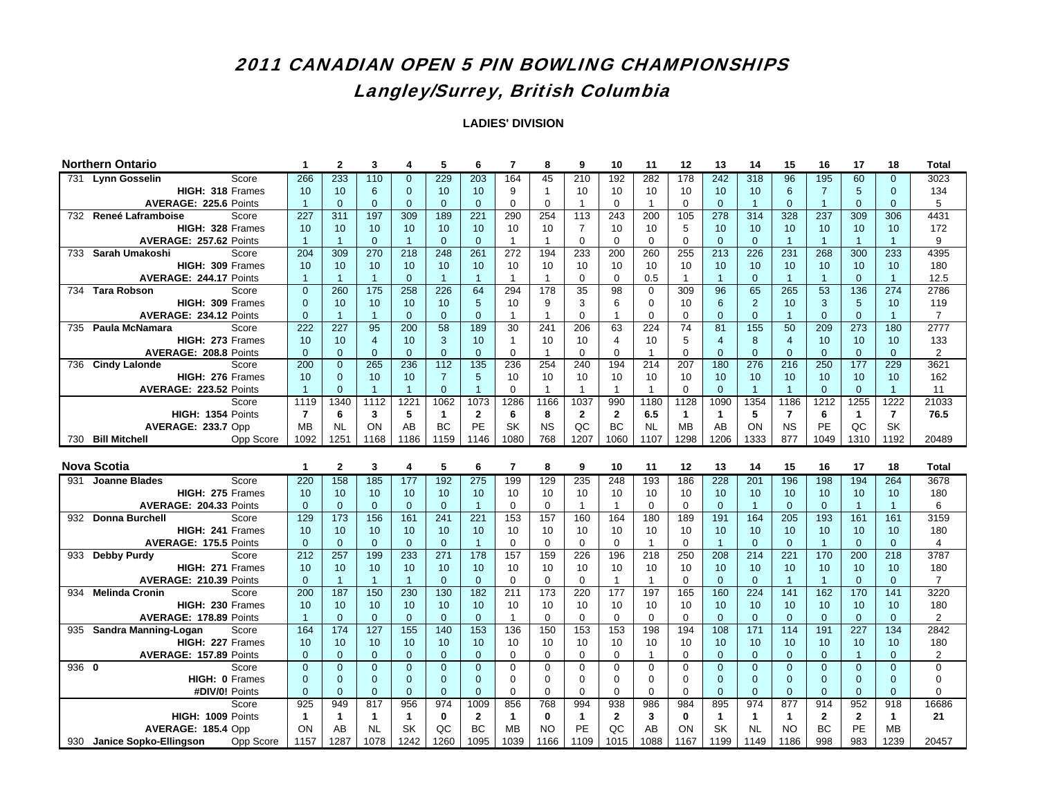### 2011 CANADIAN OPEN 5 PIN BOWLING CHAMPIONSHIPS

# Langley/Surrey, British Columbia

| <b>Northern Ontario</b>                 | -1                 | $\mathbf{2}$             | 3                         | 4                   | 5                    | 6                         | $\overline{7}$              | 8               | 9                       | 10                   | 11                 | 12                  | 13                  | 14                        | 15                        | 16                       | 17                   | 18                          | <b>Total</b>   |
|-----------------------------------------|--------------------|--------------------------|---------------------------|---------------------|----------------------|---------------------------|-----------------------------|-----------------|-------------------------|----------------------|--------------------|---------------------|---------------------|---------------------------|---------------------------|--------------------------|----------------------|-----------------------------|----------------|
| 731 Lynn Gosselin<br>Score              | 266                | 233                      | 110                       | $\mathbf{0}$        | 229                  | 203                       | 164                         | 45              | 210                     | 192                  | 282                | 178                 | 242                 | 318                       | 96                        | 195                      | 60                   | $\Omega$                    | 3023           |
| HIGH: 318 Frames                        | 10                 | 10                       | 6                         | $\mathbf{0}$        | 10                   | 10                        | 9                           | $\mathbf{1}$    | 10                      | 10                   | 10                 | 10                  | 10                  | 10                        | 6                         | $\overline{7}$           | 5                    | $\Omega$                    | 134            |
| AVERAGE: 225.6 Points                   | $\overline{1}$     | $\Omega$                 | $\mathbf{0}$              | $\Omega$            | $\Omega$             | $\overline{0}$            | $\Omega$                    | $\mathbf 0$     | $\overline{1}$          | $\Omega$             | $\mathbf{1}$       | $\Omega$            | $\Omega$            | $\overline{1}$            | $\overline{0}$            | $\overline{1}$           | $\overline{0}$       | $\Omega$                    | 5              |
| 732 Reneé Laframboise<br>Score          | 227                | 311                      | 197                       | 309                 | 189                  | 221                       | 290                         | 254             | 113                     | 243                  | 200                | 105                 | 278                 | 314                       | 328                       | 237                      | 309                  | 306                         | 4431           |
| HIGH: 328 Frames                        | 10                 | 10                       | 10                        | 10                  | 10                   | 10                        | 10                          | 10              | $\overline{7}$          | 10                   | 10                 | 5                   | 10                  | 10                        | 10                        | 10                       | 10                   | 10                          | 172            |
| AVERAGE: 257.62 Points                  | $\overline{1}$     | $\overline{1}$           | $\mathbf{0}$              | $\overline{1}$      | $\mathbf{0}$         | $\mathbf{0}$              | $\overline{1}$              | $\mathbf{1}$    | $\mathbf 0$             | $\Omega$             | $\mathbf 0$        | $\mathbf 0$         | $\mathbf{0}$        | $\overline{0}$            | $\overline{1}$            | $\overline{1}$           | $\overline{1}$       | $\overline{1}$              | 9              |
| 733 Sarah Umakoshi<br>Score             | 204                | 309                      | 270                       | 218                 | 248                  | 261                       | 272                         | 194             | 233                     | 200                  | 260                | 255                 | 213                 | 226                       | 231                       | 268                      | 300                  | 233                         | 4395           |
| HIGH: 309 Frames                        | 10                 | 10                       | 10                        | 10                  | 10                   | 10                        | 10                          | 10              | 10                      | 10                   | 10                 | 10                  | 10                  | 10                        | 10                        | 10                       | 10                   | 10                          | 180            |
| <b>AVERAGE: 244.17 Points</b>           | $\overline{1}$     | $\mathbf{1}$             | $\mathbf{1}$              | $\Omega$            | $\overline{1}$       | $\overline{1}$            | $\overline{1}$              | $\mathbf{1}$    | $\Omega$                | $\Omega$             | 0.5                | $\mathbf{1}$        | $\overline{1}$      | $\mathbf{0}$              | $\overline{1}$            | $\overline{1}$           | $\mathbf{0}$         | $\overline{1}$              | 12.5           |
| <b>Tara Robson</b><br>734<br>Score      | $\Omega$           | 260                      | 175                       | 258                 | $\overline{226}$     | 64                        | 294                         | 178             | 35                      | 98                   | $\Omega$           | 309                 | $\overline{96}$     | 65                        | 265                       | $\overline{53}$          | 136                  | 274                         | 2786           |
| HIGH: 309 Frames                        | $\mathbf{0}$       | 10                       | 10                        | 10                  | 10                   | 5                         | 10                          | 9               | 3                       | 6                    | $\mathbf 0$        | 10                  | $6\phantom{1}$      | $\overline{2}$            | 10                        | 3                        | $\sqrt{5}$           | 10                          | 119            |
| AVERAGE: 234.12 Points                  | $\mathbf{0}$       | $\overline{1}$           | $\mathbf{1}$              | $\overline{0}$      | $\mathbf{0}$         | $\mathbf{0}$              | $\overline{1}$              | $\mathbf{1}$    | $\mathbf 0$             | 1                    | $\mathbf 0$        | $\mathbf 0$         | $\mathbf{0}$        | $\mathbf{0}$              | $\overline{1}$            | $\mathbf{0}$             | $\mathbf{0}$         | $\overline{1}$              | 7              |
| 735 Paula McNamara<br>Score             | 222                | 227                      | 95                        | 200                 | 58                   | 189                       | 30                          | 241             | 206                     | 63                   | 224                | 74                  | 81                  | 155                       | 50                        | 209                      | 273                  | 180                         | 2777           |
| HIGH: 273 Frames                        | 10                 | 10                       | $\overline{4}$            | 10                  | 3                    | 10                        | $\overline{1}$              | 10              | 10                      | 4                    | 10                 | 5                   | $\overline{4}$      | 8                         | $\overline{4}$            | 10                       | 10                   | 10 <sup>10</sup>            | 133            |
| <b>AVERAGE: 208.8 Points</b>            | $\mathbf{0}$       | $\Omega$                 | $\Omega$                  | $\Omega$            | $\Omega$             | $\overline{0}$            | $\Omega$                    | $\mathbf{1}$    | $\Omega$                | $\Omega$             | $\mathbf{1}$       | $\Omega$            | $\Omega$            | $\Omega$                  | $\Omega$                  | $\Omega$                 | $\overline{0}$       | $\Omega$                    | $\overline{2}$ |
| 736 Cindy Lalonde<br>Score              | 200                | $\Omega$                 | 265                       | 236                 | 112                  | 135                       | 236                         | 254             | 240                     | 194                  | 214                | 207                 | 180                 | 276                       | 216                       | 250                      | 177                  | 229                         | 3621           |
| HIGH: 276 Frames                        | 10                 | $\Omega$                 | 10                        | 10                  | $\overline{7}$       | 5                         | 10                          | 10              | 10                      | 10                   | 10                 | 10                  | 10                  | 10                        | 10 <sup>1</sup>           | 10                       | 10                   | 10                          | 162            |
| AVERAGE: 223.52 Points                  | $\overline{1}$     | $\mathbf{0}$             | $\overline{1}$            | $\overline{1}$      | $\Omega$             | $\overline{1}$            | $\Omega$                    | $\mathbf{1}$    | $\mathbf{1}$            | $\mathbf{1}$         | $\mathbf{1}$       | $\mathbf 0$         | $\mathbf{0}$        | $\overline{1}$            | $\mathbf{1}$              | $\mathbf{0}$             | $\mathbf{0}$         | $\overline{1}$              | 11             |
| Score                                   | 1119               | 1340                     | 1112                      | 1221                | 1062                 | 1073                      | 1286                        | 1166            | 1037                    | 990                  | 1180               | 1128                | 1090                | 1354                      | 1186                      | 1212                     | 1255                 | 1222                        | 21033          |
| HIGH: 1354 Points                       | $\overline{7}$     | 6                        | 3                         | 5                   | $\mathbf{1}$         | $\overline{2}$            | 6                           | 8               | $\overline{2}$          | $\overline{2}$       | 6.5                | $\mathbf{1}$        | $\mathbf{1}$        | 5                         | $\overline{7}$            | 6                        | $\mathbf{1}$         | $\overline{7}$              | 76.5           |
| AVERAGE: 233.7 Opp                      | <b>MB</b>          | <b>NL</b>                | ON                        | AB                  | <b>BC</b>            | PE                        | <b>SK</b>                   | <b>NS</b>       | QC                      | BC                   | <b>NL</b>          | <b>MB</b>           | AB                  | ON                        | <b>NS</b>                 | PE                       | QC                   | <b>SK</b>                   |                |
| 730 Bill Mitchell<br>Opp Score          | 1092               | 1251                     | 1168                      | 1186                | 1159                 | 1146                      | 1080                        | 768             | 1207                    | 1060                 | 1107               | 1298                | 1206                | 1333                      | 877                       | 1049                     | 1310                 | 1192                        | 20489          |
|                                         |                    |                          |                           |                     |                      |                           |                             |                 |                         |                      |                    |                     |                     |                           |                           |                          |                      |                             |                |
|                                         |                    |                          |                           |                     |                      |                           |                             |                 |                         |                      |                    |                     |                     |                           |                           |                          |                      |                             |                |
| <b>Nova Scotia</b>                      | $\mathbf{1}$       | $\mathbf{2}$             | 3                         | 4                   | 5                    | 6                         | $\overline{7}$              | 8               | 9                       | 10                   | 11                 | 12                  | 13                  | 14                        | 15                        | 16                       | 17                   | 18                          | <b>Total</b>   |
| 931 Joanne Blades<br>Score              | 220                | 158                      | 185                       | 177                 | 192                  | $\overline{275}$          | 199                         | 129             | 235                     | 248                  | 193                | 186                 | 228                 | 201                       | 196                       | 198                      | 194                  | 264                         | 3678           |
| HIGH: 275 Frames                        | 10                 | 10                       | 10                        | 10 <sup>1</sup>     | 10                   | 10                        | 10                          | 10              | 10                      | 10                   | 10                 | 10                  | 10                  | 10                        | 10 <sup>1</sup>           | 10                       | 10                   | 10 <sup>°</sup>             | 180            |
| AVERAGE: 204.33 Points                  | $\mathbf{0}$       | $\Omega$                 | $\mathbf{0}$              | $\mathbf{0}$        | $\Omega$             | $\overline{1}$            | $\Omega$                    | $\mathbf 0$     | $\mathbf{1}$            | $\mathbf{1}$         | $\mathbf 0$        | $\mathbf 0$         | $\overline{0}$      | $\overline{1}$            | $\mathbf{0}$              | $\Omega$                 | $\overline{1}$       | $\overline{1}$              | 6              |
| 932 Donna Burchell<br>Score             | 129                | 173                      | 156                       | 161                 | 241                  | 221                       | 153                         | 157             | 160                     | 164                  | 180                | 189                 | 191                 | 164                       | 205                       | 193                      | 161                  | 161                         | 3159           |
| HIGH: 241 Frames                        | 10                 | 10                       | 10                        | 10                  | 10                   | 10                        | 10                          | 10              | 10                      | 10                   | 10                 | 10                  | 10                  | 10                        | 10                        | 10                       | 10                   | 10                          | 180            |
| <b>AVERAGE: 175.5 Points</b>            | $\mathbf{0}$       | $\Omega$                 | $\Omega$                  | $\mathbf{0}$        | $\Omega$             | $\overline{1}$            | $\Omega$                    | $\mathbf 0$     | $\Omega$                | $\Omega$             | $\mathbf{1}$       | $\Omega$            | $\overline{1}$      | $\mathbf{0}$              | $\mathbf{0}$              | $\mathbf{1}$             | $\overline{0}$       | $\Omega$                    | $\overline{4}$ |
| 933 Debby Purdy<br>Score                | 212                | 257                      | 199                       | 233                 | 271                  | 178                       | 157                         | 159             | 226                     | 196                  | 218                | 250                 | 208                 | 214                       | $\overline{221}$          | 170                      | 200                  | $\overline{218}$            | 3787           |
| HIGH: 271 Frames                        | 10                 | 10                       | 10                        | 10                  | 10                   | 10                        | 10                          | 10              | 10                      | 10                   | 10                 | 10                  | 10                  | 10                        | 10                        | 10                       | 10                   | 10                          | 180            |
| AVERAGE: 210.39 Points                  | $\mathbf{0}$       | $\overline{1}$           | $\overline{1}$            | $\overline{1}$      | $\Omega$             | $\mathbf{0}$              | $\Omega$                    | $\mathbf 0$     | $\Omega$                | $\mathbf{1}$         | $\mathbf{1}$       | $\mathbf 0$         | $\Omega$            | $\Omega$                  | $\overline{1}$            | $\overline{1}$           | $\mathbf{0}$         | $\Omega$                    | $\overline{7}$ |
| Score<br>934 Melinda Cronin             | 200                | 187                      | 150                       | 230                 | 130                  | 182                       | 211                         | 173             | 220                     | 177                  | 197                | 165                 | 160                 | 224                       | 141                       | 162                      | 170                  | 141                         | 3220           |
| HIGH: 230 Frames                        | 10                 | 10                       | 10                        | 10                  | 10                   | 10                        | 10                          | 10              | 10                      | 10                   | 10                 | 10                  | 10                  | 10                        | 10                        | 10                       | 10                   | 10                          | 180            |
| AVERAGE: 178.89 Points                  | $\overline{1}$     | $\mathbf{0}$             | $\overline{0}$            | $\mathbf{0}$        | $\mathbf{0}$         | $\overline{0}$            | $\overline{1}$              | $\mathbf 0$     | $\mathbf 0$             | $\mathbf 0$          | $\mathbf 0$        | $\mathbf 0$         | $\mathbf{0}$        | $\mathbf{0}$              | $\mathbf{0}$              | $\Omega$                 | $\overline{0}$       | $\Omega$                    | $\overline{2}$ |
| 935 Sandra Manning-Logan<br>Score       | 164                | 174                      | 127                       | 155                 | $\overline{140}$     | 153                       | 136                         | 150             | 153                     | 153                  | 198                | 194                 | 108                 | $\frac{1}{171}$           | 114                       | 191                      | 227                  | 134                         | 2842           |
| HIGH: 227 Frames                        | 10                 | 10                       | 10                        | 10 <sup>10</sup>    | 10                   | 10                        | 10                          | 10              | 10                      | 10                   | 10<br>$\mathbf{1}$ | 10                  | 10                  | 10                        | 10                        | 10                       | 10<br>$\overline{1}$ | 10 <sup>1</sup><br>$\Omega$ | 180            |
| AVERAGE: 157.89 Points                  | $\mathbf{0}$       | $\Omega$                 | $\overline{0}$            | $\Omega$            | $\Omega$             | $\Omega$                  | $\Omega$                    | $\mathbf 0$     | $\Omega$                | $\Omega$             |                    | $\Omega$            | $\overline{0}$      | $\Omega$                  | $\mathbf{0}$              | $\Omega$                 |                      |                             | $\overline{2}$ |
| 936 0<br>Score                          | $\Omega$           | $\Omega$                 | $\Omega$                  | $\Omega$            | $\Omega$             | $\Omega$                  | $\Omega$                    | $\Omega$        | $\Omega$                | $\Omega$             | $\Omega$           | $\Omega$            | $\overline{0}$      | $\Omega$                  | $\Omega$                  | $\overline{0}$           | $\Omega$             | $\Omega$                    | $\Omega$       |
| HIGH: 0 Frames                          | $\mathbf{0}$       | $\mathbf{0}$<br>$\Omega$ | $\mathbf{0}$              | $\mathbf{0}$        | $\Omega$<br>$\Omega$ | $\mathbf{0}$              | 0<br>$\Omega$               | $\mathbf 0$     | $\mathbf 0$<br>$\Omega$ | 0<br>$\Omega$        | 0                  | 0                   | $\mathbf{0}$        | $\mathbf{0}$              | $\mathbf{0}$              | $\mathbf{0}$<br>$\Omega$ | $\mathbf{0}$         | 0                           | 0              |
| #DIV/0! Points                          | $\mathbf{0}$       |                          | $\mathbf{0}$              | $\mathbf{0}$        |                      | $\mathbf{0}$              |                             | $\mathbf 0$     |                         |                      | $\mathbf 0$        | $\mathbf 0$         | $\mathbf{0}$        | $\mathbf{0}$              | $\mathbf{0}$              |                          | $\mathbf{0}$         | $\mathbf{0}$                | 0              |
| Score                                   | 925                | 949<br>$\mathbf{1}$      | 817                       | 956<br>$\mathbf{1}$ | 974<br>$\bf{0}$      | 1009                      | 856<br>$\blacktriangleleft$ | 768<br>$\bf{0}$ | 994<br>$\mathbf{1}$     | 938                  | 986<br>3           | 984<br>$\mathbf{0}$ | 895<br>$\mathbf{1}$ | 974                       | 877                       | 914<br>$\mathbf{2}$      | 952                  | 918<br>$\mathbf{1}$         | 16686          |
| HIGH: 1009 Points<br>AVERAGE: 185.4 Opp | $\mathbf{1}$<br>ON | AB                       | $\mathbf{1}$<br><b>NL</b> | SK                  | QC                   | $\mathbf{2}$<br><b>BC</b> | <b>MB</b>                   | <b>NO</b>       | <b>PE</b>               | $\overline{2}$<br>OC | AB                 | ON                  | <b>SK</b>           | $\mathbf{1}$<br><b>NL</b> | $\mathbf{1}$<br><b>NO</b> | <b>BC</b>                | $\mathbf{2}$<br>PE   | <b>MB</b>                   | 21             |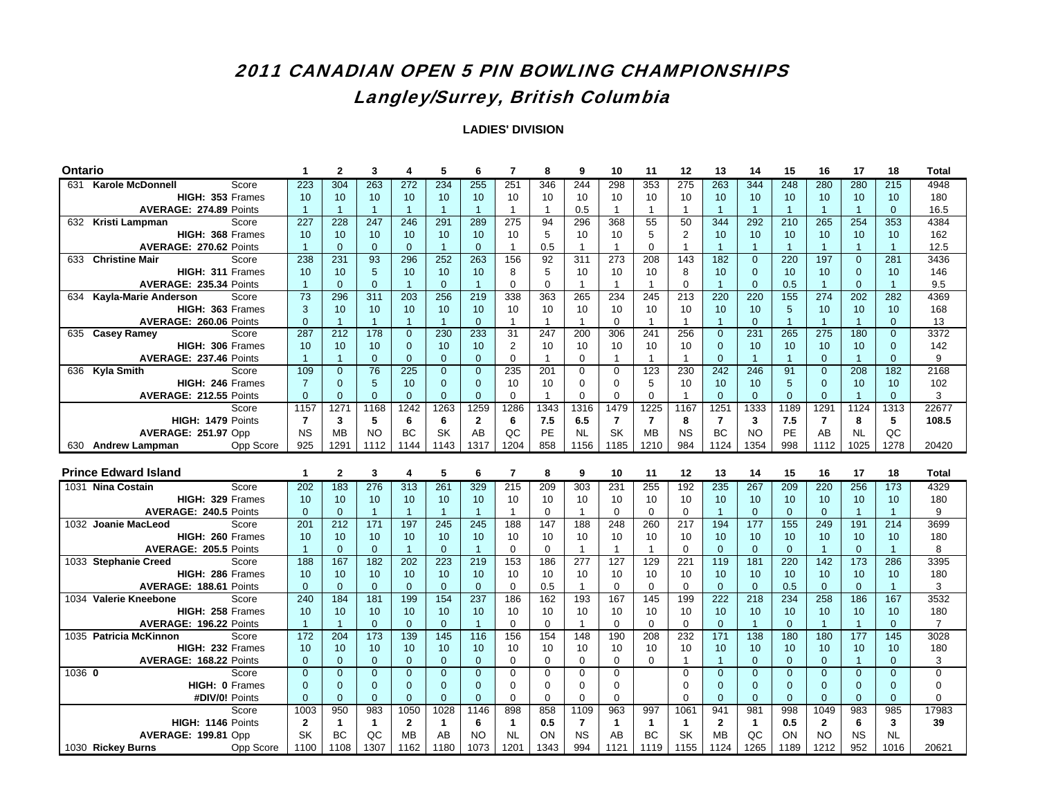### 2011 CANADIAN OPEN 5 PIN BOWLING CHAMPIONSHIPS Langley/Surrey, British Columbia

| <b>Ontario</b>                                        | $\mathbf 1$    | $\mathbf{2}$   | 3               | 4                 | 5              | 6                 | $\overline{7}$    | 8               | 9                | 10             | 11             | 12                | 13                | 14               | 15             | 16             | 17               | 18                | Total          |
|-------------------------------------------------------|----------------|----------------|-----------------|-------------------|----------------|-------------------|-------------------|-----------------|------------------|----------------|----------------|-------------------|-------------------|------------------|----------------|----------------|------------------|-------------------|----------------|
| 631<br><b>Karole McDonnell</b><br>Score               | 223            | 304            | 263             | 272               | 234            | 255               | 251               | 346             | 244              | 298            | 353            | 275               | 263               | 344              | 248            | 280            | 280              | 215               | 4948           |
| HIGH: 353 Frames                                      | 10             | 10             | 10              | 10                | 10             | 10                | 10                | 10              | 10               | 10             | 10             | 10                | 10                | 10               | 10             | 10             | 10               | 10                | 180            |
| AVERAGE: 274.89 Points                                | $\overline{1}$ | $\overline{1}$ | $\overline{1}$  | $\overline{1}$    | $\overline{1}$ | $\overline{1}$    | $\mathbf{1}$      | $\mathbf{1}$    | 0.5              | $\mathbf{1}$   | $\mathbf{1}$   | $\overline{1}$    | $\overline{1}$    | $\overline{1}$   | $\overline{1}$ | $\mathbf{1}$   | $\overline{1}$   | $\Omega$          | 16.5           |
| 632 Kristi Lampman<br>Score                           | 227            | 228            | 247             | 246               | 291            | 289               | 275               | 94              | 296              | 368            | 55             | 50                | 344               | 292              | 210            | 265            | 254              | 353               | 4384           |
| HIGH: 368 Frames                                      | 10             | 10             | 10              | 10                | 10             | 10                | 10                | 5               | 10               | 10             | 5              | 2                 | 10                | 10               | 10             | 10             | 10               | 10                | 162            |
| AVERAGE: 270.62 Points                                | $\overline{1}$ | $\Omega$       | $\mathbf{0}$    | $\Omega$          | $\overline{1}$ | $\overline{0}$    | $\mathbf{1}$      | 0.5             | $\overline{1}$   | $\mathbf{1}$   | $\Omega$       | $\overline{1}$    | $\mathbf{1}$      | $\overline{1}$   | $\overline{1}$ | $\overline{1}$ | $\overline{1}$   | $\overline{1}$    | 12.5           |
| 633 Christine Mair<br>Score                           | 238            | 231            | 93              | 296               | 252            | 263               | 156               | $\overline{92}$ | 311              | 273            | 208            | 143               | 182               | $\mathbf{0}$     | 220            | 197            | $\overline{0}$   | 281               | 3436           |
| HIGH: 311 Frames                                      | 10             | 10             | 5               | 10                | 10             | 10                | 8                 | 5               | 10               | 10             | 10             | 8                 | 10                | $\overline{0}$   | 10             | 10             | $\mathbf{0}$     | 10 <sup>1</sup>   | 146            |
| AVERAGE: 235.34 Points                                | $\overline{1}$ | $\Omega$       | $\mathbf{0}$    | $\overline{1}$    | $\mathbf{0}$   | $\overline{1}$    | $\Omega$          | $\mathbf 0$     | $\mathbf{1}$     | $\mathbf{1}$   | $\mathbf{1}$   | $\Omega$          | $\overline{1}$    | $\mathbf{0}$     | 0.5            | $\overline{1}$ | $\overline{0}$   | $\overline{1}$    | 9.5            |
| 634 Kayla-Marie Anderson<br>Score                     | 73             | 296            | 311             | 203               | 256            | 219               | 338               | 363             | 265              | 234            | 245            | $\overline{213}$  | 220               | 220              | 155            | 274            | $\overline{202}$ | 282               | 4369           |
| HIGH: 363 Frames                                      | 3              | 10             | 10              | 10                | 10             | 10                | 10                | 10              | 10               | 10             | 10             | 10                | 10                | 10               | 5              | 10             | 10               | 10                | 168            |
| AVERAGE: 260.06 Points                                | $\mathbf{0}$   | $\overline{1}$ | $\overline{1}$  | $\overline{1}$    | $\mathbf{1}$   | $\overline{0}$    | $\mathbf{1}$      | $\mathbf{1}$    | $\mathbf{1}$     | $\mathbf 0$    | $\mathbf{1}$   | $\overline{1}$    | $\mathbf{1}$      | $\mathbf{0}$     | $\overline{1}$ | $\overline{1}$ | $\overline{1}$   | $\Omega$          | 13             |
| Score<br>635 Casey Ramey                              | 287            | 212            | 178             | $\overline{0}$    | 230            | 233               | 31                | 247             | 200              | 306            | 241            | 256               | $\Omega$          | 231              | 265            | 275            | 180              | $\Omega$          | 3372           |
| HIGH: 306 Frames                                      | 10             | 10             | 10              | $\mathbf{0}$      | 10             | 10                | 2                 | 10              | 10               | 10             | 10             | 10                | $\mathbf{0}$      | 10               | 10             | 10             | 10               | $\Omega$          | 142            |
| AVERAGE: 237.46 Points                                | $\overline{1}$ | $\overline{1}$ | $\mathbf{0}$    | $\overline{0}$    | $\mathbf{0}$   | $\mathbf{0}$      | $\mathbf 0$       | $\mathbf{1}$    | $\mathbf 0$      | $\mathbf{1}$   | $\mathbf{1}$   | $\overline{1}$    | $\Omega$          | $\overline{1}$   | $\overline{1}$ | $\Omega$       | $\overline{1}$   | $\Omega$          | 9              |
| 636 Kyla Smith<br>Score                               | 109            | $\Omega$       | 76              | $\overline{225}$  | $\overline{0}$ | $\Omega$          | 235               | 201             | $\mathbf 0$      | $\mathbf 0$    | 123            | 230               | 242               | $\overline{246}$ | 91             | $\overline{0}$ | 208              | 182               | 2168           |
| HIGH: 246 Frames                                      | $\overline{7}$ | $\Omega$       | 5               | 10                | $\Omega$       | $\Omega$          | 10                | 10              | $\Omega$         | $\Omega$       | 5              | 10                | 10                | 10               | 5              | $\Omega$       | 10               | 10                | 102            |
| AVERAGE: 212.55 Points                                | $\Omega$       | $\Omega$       | $\Omega$        | $\Omega$          | $\Omega$       | $\Omega$          | $\Omega$          | $\mathbf{1}$    | $\Omega$         | $\Omega$       | $\Omega$       | $\overline{1}$    | $\Omega$          | $\Omega$         | $\Omega$       | $\Omega$       | $\overline{1}$   | $\Omega$          | 3              |
| Score                                                 | 1157           | 1271           | 1168            | 1242              | 1263           | 1259              | 1286              | 1343            | 1316             | 1479           | 1225           | 1167              | 1251              | 1333             | 1189           | 1291           | 1124             | 1313              | 22677          |
| HIGH: 1479 Points                                     | $\overline{7}$ | 3              | 5               | 6                 | 6              | $\overline{2}$    | 6                 | 7.5             | 6.5              | $\overline{7}$ | $\overline{7}$ | 8                 | $\overline{7}$    | 3                | 7.5            | $\overline{7}$ | 8                | 5                 | 108.5          |
| <b>AVERAGE: 251.97 Opp</b>                            | <b>NS</b>      | <b>MB</b>      | <b>NO</b>       | <b>BC</b>         | <b>SK</b>      | AB                | QC                | PE              | <b>NL</b>        | <b>SK</b>      | <b>MB</b>      | <b>NS</b>         | <b>BC</b>         | <b>NO</b>        | PE             | AB             | <b>NL</b>        | QC                |                |
| Opp Score<br>630 Andrew Lampman                       | 925            | 1291           | 1112            | 1144              | 1143           | 1317              | 1204              | 858             | 1156             | 1185           | 1210           | 984               | 1124              | 1354             | 998            | 1112           | 1025             | 1278              | 20420          |
|                                                       |                |                |                 |                   |                |                   |                   |                 |                  |                |                |                   |                   |                  |                |                |                  |                   |                |
|                                                       |                |                |                 |                   |                |                   |                   |                 |                  |                |                |                   |                   |                  |                |                |                  |                   |                |
| <b>Prince Edward Island</b>                           | $\mathbf{1}$   | $\overline{2}$ | 3               | 4                 | 5              | 6                 | $\overline{7}$    | 8               | 9                | 10             | 11             | 12                | 13                | 14               | 15             | 16             | 17               | 18                | Total          |
| 1031 Nina Costain<br>Score                            | 202            | 183            | 276             | 313               | 261            | 329               | 215               | 209             | 303              | 231            | 255            | 192               | 235               | 267              | 209            | 220            | 256              | 173               | 4329           |
| HIGH: 329 Frames                                      | 10             | 10             | 10              | 10                | 10             | 10                | 10                | 10              | 10               | 10             | 10             | 10                | 10                | 10               | 10             | 10             | 10               | 10                | 180            |
| AVERAGE: 240.5 Points                                 | $\Omega$       | $\Omega$       | $\overline{1}$  | $\overline{1}$    | $\mathbf{1}$   | $\overline{1}$    | $\mathbf{1}$      | $\Omega$        | $\mathbf{1}$     | $\Omega$       | $\Omega$       | $\Omega$          | $\overline{1}$    | $\Omega$         | $\overline{0}$ | $\overline{0}$ | $\overline{1}$   | $\overline{1}$    | 9              |
| 1032 Joanie MacLeod<br>Score                          | 201            | 212            | 171             | 197               | 245            | 245               | 188               | 147             | 188              | 248            | 260            | 217               | 194               | 177              | 155            | 249            | 191              | 214               | 3699           |
| HIGH: 260 Frames                                      | 10             | 10             | 10              | 10                | 10             | 10                | 10                | 10              | 10               | 10             | 10             | 10                | 10                | 10               | 10             | 10             | 10               | 10                | 180            |
| <b>AVERAGE: 205.5 Points</b>                          | $\overline{1}$ | $\Omega$       | $\Omega$        | $\overline{1}$    | $\Omega$       | $\overline{1}$    | $\Omega$          | $\mathbf 0$     | $\overline{1}$   | $\mathbf{1}$   | $\mathbf{1}$   | $\Omega$          | $\Omega$          | $\mathbf{0}$     | $\Omega$       | $\overline{1}$ | $\mathbf{0}$     | $\overline{1}$    | 8              |
| 1033 Stephanie Creed<br>Score                         | 188            | 167            | 182             | 202               | 223            | 219               | 153               | 186             | 277              | 127            | 129            | 221               | 119               | 181              | 220            | 142            | 173              | 286               | 3395           |
| HIGH: 286 Frames                                      | 10             | 10             | 10 <sup>1</sup> | 10                | 10             | 10                | 10                | 10              | 10 <sup>1</sup>  | 10             | 10             | 10                | 10                | 10               | 10             | 10             | 10               | 10                | 180            |
| AVERAGE: 188.61 Points                                | $\mathbf{0}$   | $\mathbf{0}$   | $\mathbf{0}$    | $\mathbf{0}$      | $\mathbf{0}$   | $\mathbf{0}$      | $\Omega$          | 0.5             | $\overline{1}$   | $\mathbf 0$    | $\mathbf 0$    | $\mathbf 0$       | $\overline{0}$    | $\overline{0}$   | 0.5            | $\mathbf{0}$   | $\mathbf{0}$     | $\overline{1}$    | 3              |
| 1034 Valerie Kneebone<br>Score                        | 240            | 184            | 181             | 199               | 154            | 237               | 186               | 162             | 193              | 167            | 145            | 199               | 222               | 218              | 234            | 258            | 186              | 167               | 3532           |
| HIGH: 258 Frames                                      | 10             | 10             | 10              | 10                | 10             | 10                | 10                | 10              | 10               | 10             | 10             | 10                | 10                | 10               | 10             | 10             | 10               | 10                | 180            |
| AVERAGE: 196.22 Points                                | $\overline{1}$ | $\overline{1}$ | $\overline{0}$  | $\Omega$          | $\mathbf{0}$   | $\overline{1}$    | $\Omega$          | $\mathbf 0$     | $\overline{1}$   | $\Omega$       | $\mathbf 0$    | $\Omega$          | $\overline{0}$    | $\overline{1}$   | $\Omega$       | $\overline{1}$ | $\overline{1}$   | $\Omega$          | $\overline{7}$ |
| 1035 Patricia McKinnon<br>Score                       | 172            | 204            | 173             | 139               | 145            | 116               | 156               | 154             | 148              | 190            | 208            | 232               | 171               | 138              | 180            | 180            | 177              | 145               | 3028           |
| HIGH: 232 Frames                                      | 10             | 10             | 10              | 10                | 10             | 10                | 10                | 10              | 10               | 10             | 10             | 10                | 10                | 10               | 10             | 10             | 10               | 10                | 180            |
| AVERAGE: 168.22 Points                                | $\mathbf{0}$   | $\Omega$       | $\mathbf{0}$    | $\Omega$          | $\Omega$       | $\Omega$          | $\Omega$          | $\mathbf 0$     | $\Omega$         | $\Omega$       | $\Omega$       | $\overline{1}$    | $\overline{1}$    | $\Omega$         | $\Omega$       | $\Omega$       | $\overline{1}$   | $\Omega$          | 3              |
| 1036 0<br>Score                                       | $\Omega$       | $\Omega$       | $\overline{0}$  | $\Omega$          | $\Omega$       | $\Omega$          | $\Omega$          | $\Omega$        | $\Omega$         | 0              |                | $\Omega$          | $\Omega$          | $\Omega$         | $\mathbf{0}$   | $\Omega$       | $\Omega$         | $\Omega$          | $\Omega$       |
| HIGH: 0 Frames                                        | $\Omega$       | $\Omega$       | $\mathbf{0}$    | $\Omega$          | $\Omega$       | $\Omega$          | $\mathbf 0$       | $\mathbf 0$     | $\Omega$         | $\mathbf 0$    |                | $\Omega$          | $\Omega$          | $\mathbf{0}$     | $\Omega$       | $\Omega$       | $\Omega$         | $\Omega$          | $\mathbf 0$    |
| #DIV/0! Points                                        | $\mathbf{0}$   | $\mathbf{0}$   | $\mathbf 0$     | $\mathbf{0}$      | $\mathbf{0}$   | $\mathbf{0}$      | $\mathbf 0$       | $\mathbf 0$     | $\mathbf 0$      | $\mathbf 0$    |                | $\Omega$          | $\mathbf{0}$      | $\mathbf{0}$     | $\overline{0}$ | $\overline{0}$ | $\mathbf 0$      | $\mathbf{0}$      | $\Omega$       |
| Score                                                 | 1003           | 950            | 983             | 1050              | 1028           | 1146              | 898               | 858             | 1109             | 963            | 997            | 1061              | 941               | 981              | 998            | 1049           | 983              | 985               | 17983          |
| HIGH: 1146 Points                                     | $\mathbf{2}$   | $\mathbf{1}$   | $\mathbf{1}$    | $\mathbf{2}$      | $\mathbf{1}$   | 6                 | $\mathbf{1}$      | 0.5             | $\overline{7}$   | $\mathbf 1$    | $\mathbf{1}$   | $\mathbf{1}$      | $\mathbf{2}$      | $\mathbf{1}$     | 0.5            | $\overline{2}$ | 6                | 3                 | 39             |
| AVERAGE: 199.81 Opp<br>1030 Rickey Burns<br>Opp Score | SK<br>1100     | BC<br>1108     | QC<br>1307      | <b>MB</b><br>1162 | AB<br>1180     | <b>NO</b><br>1073 | <b>NL</b><br>1201 | ON<br>1343      | <b>NS</b><br>994 | AB<br>1121     | BC<br>1119     | <b>SK</b><br>1155 | <b>MB</b><br>1124 | QC<br>1265       | ON<br>1189     | NO.<br>1212    | <b>NS</b><br>952 | <b>NL</b><br>1016 | 20621          |